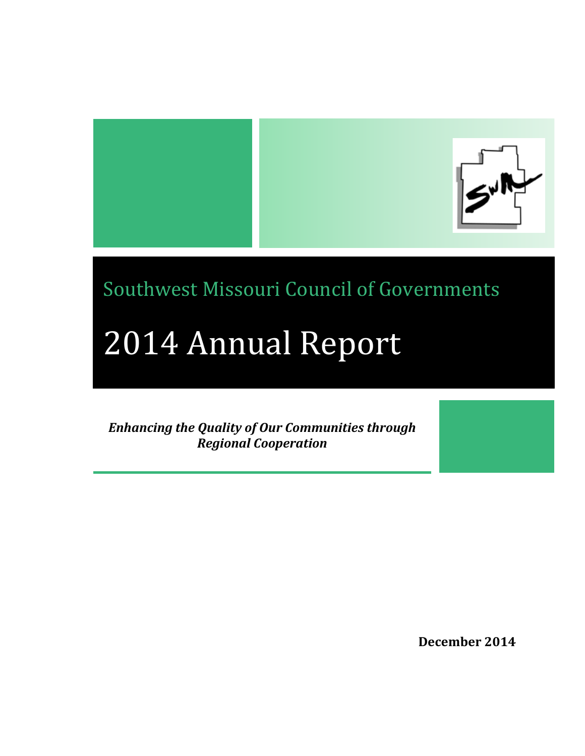

Southwest Missouri Council of Governments

# 2014 Annual Report

*Enhancing the Quality of Our Communities through Regional Cooperation*

**December 2014**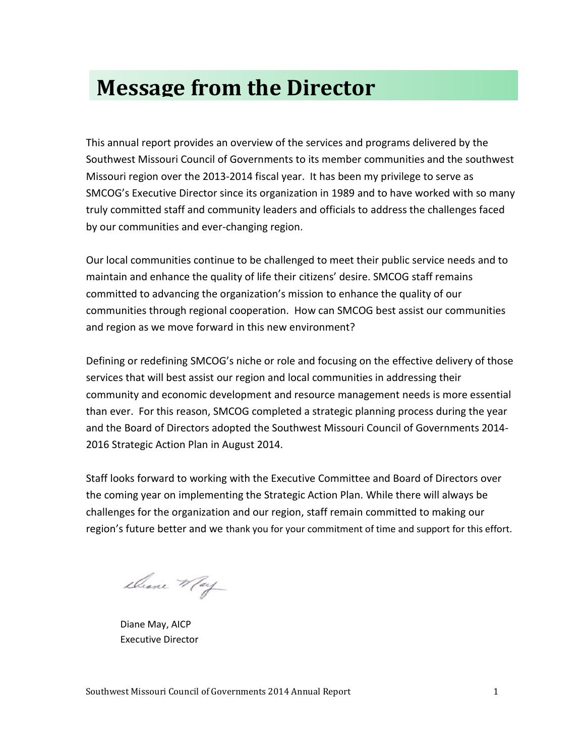## **Message from the Director**

This annual report provides an overview of the services and programs delivered by the Southwest Missouri Council of Governments to its member communities and the southwest Missouri region over the 2013-2014 fiscal year. It has been my privilege to serve as SMCOG's Executive Director since its organization in 1989 and to have worked with so many truly committed staff and community leaders and officials to address the challenges faced by our communities and ever-changing region.

Our local communities continue to be challenged to meet their public service needs and to maintain and enhance the quality of life their citizens' desire. SMCOG staff remains committed to advancing the organization's mission to enhance the quality of our communities through regional cooperation. How can SMCOG best assist our communities and region as we move forward in this new environment?

Defining or redefining SMCOG's niche or role and focusing on the effective delivery of those services that will best assist our region and local communities in addressing their community and economic development and resource management needs is more essential than ever. For this reason, SMCOG completed a strategic planning process during the year and the Board of Directors adopted the Southwest Missouri Council of Governments 2014- 2016 Strategic Action Plan in August 2014.

Staff looks forward to working with the Executive Committee and Board of Directors over the coming year on implementing the Strategic Action Plan. While there will always be challenges for the organization and our region, staff remain committed to making our region's future better and we thank you for your commitment of time and support for this effort.

Deane May

Diane May, AICP Executive Director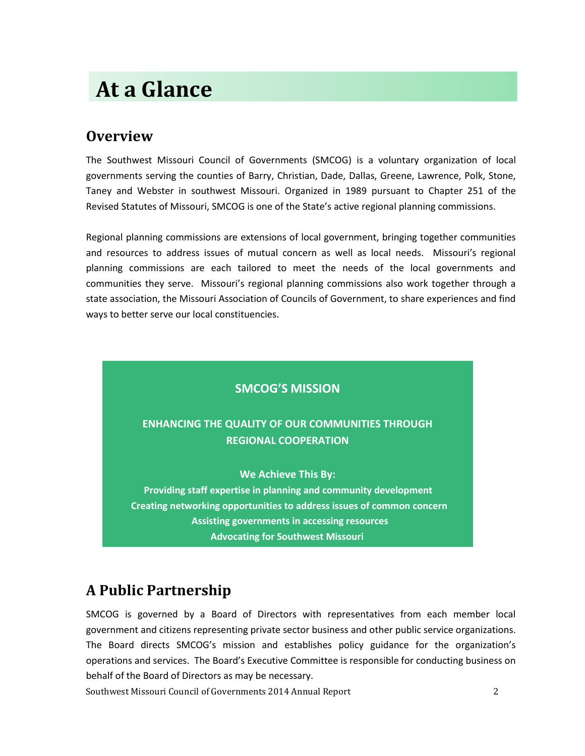## **At a Glance**

## **Overview**

The Southwest Missouri Council of Governments (SMCOG) is a voluntary organization of local governments serving the counties of Barry, Christian, Dade, Dallas, Greene, Lawrence, Polk, Stone, Taney and Webster in southwest Missouri. Organized in 1989 pursuant to Chapter 251 of the Revised Statutes of Missouri, SMCOG is one of the State's active regional planning commissions.

Regional planning commissions are extensions of local government, bringing together communities and resources to address issues of mutual concern as well as local needs. Missouri's regional planning commissions are each tailored to meet the needs of the local governments and communities they serve. Missouri's regional planning commissions also work together through a state association, the Missouri Association of Councils of Government, to share experiences and find ways to better serve our local constituencies.

## **SMCOG'S MISSION**

## **ENHANCING THE QUALITY OF OUR COMMUNITIES THROUGH REGIONAL COOPERATION**

**We Achieve This By:**

**Providing staff expertise in planning and community development Creating networking opportunities to address issues of common concern Assisting governments in accessing resources Advocating for Southwest Missouri**

## **A Public Partnership**

SMCOG is governed by a Board of Directors with representatives from each member local government and citizens representing private sector business and other public service organizations. The Board directs SMCOG's mission and establishes policy guidance for the organization's operations and services. The Board's Executive Committee is responsible for conducting business on behalf of the Board of Directors as may be necessary.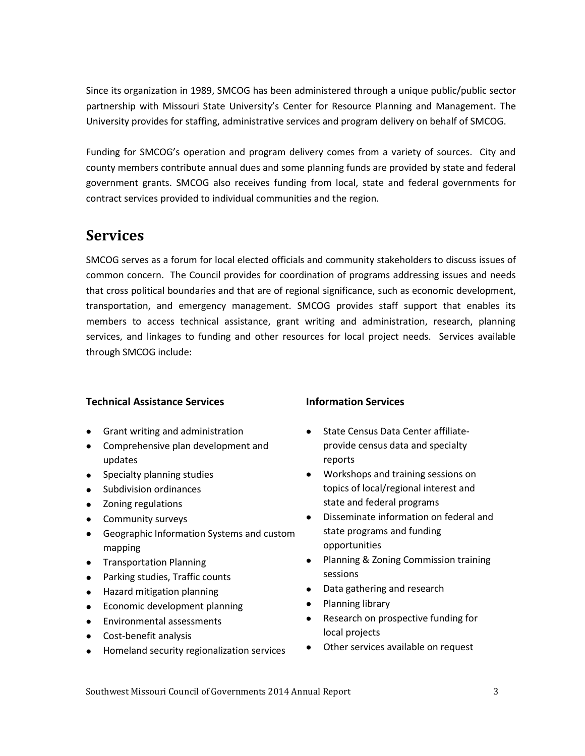Since its organization in 1989, SMCOG has been administered through a unique public/public sector partnership with Missouri State University's Center for Resource Planning and Management. The University provides for staffing, administrative services and program delivery on behalf of SMCOG.

Funding for SMCOG's operation and program delivery comes from a variety of sources. City and county members contribute annual dues and some planning funds are provided by state and federal government grants. SMCOG also receives funding from local, state and federal governments for contract services provided to individual communities and the region.

## **Services**

SMCOG serves as a forum for local elected officials and community stakeholders to discuss issues of common concern. The Council provides for coordination of programs addressing issues and needs that cross political boundaries and that are of regional significance, such as economic development, transportation, and emergency management. SMCOG provides staff support that enables its members to access technical assistance, grant writing and administration, research, planning services, and linkages to funding and other resources for local project needs. Services available through SMCOG include:

### **Technical Assistance Services**

- Grant writing and administration
- Comprehensive plan development and updates
- Specialty planning studies
- Subdivision ordinances
- Zoning regulations
- Community surveys
- Geographic Information Systems and custom mapping
- Transportation Planning
- Parking studies, Traffic counts
- Hazard mitigation planning
- Economic development planning
- Environmental assessments
- Cost-benefit analysis
- Homeland security regionalization services

### **Information Services**

- State Census Data Center affiliateprovide census data and specialty reports
- Workshops and training sessions on topics of local/regional interest and state and federal programs
- Disseminate information on federal and state programs and funding opportunities
- Planning & Zoning Commission training sessions
- Data gathering and research
- Planning library
- Research on prospective funding for local projects
- Other services available on request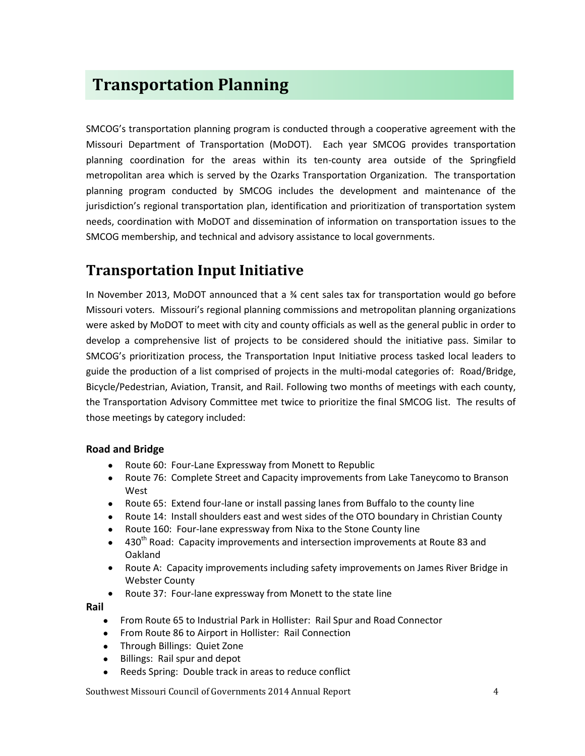## **Transportation Planning**

SMCOG's transportation planning program is conducted through a cooperative agreement with the Missouri Department of Transportation (MoDOT). Each year SMCOG provides transportation planning coordination for the areas within its ten-county area outside of the Springfield metropolitan area which is served by the Ozarks Transportation Organization. The transportation planning program conducted by SMCOG includes the development and maintenance of the jurisdiction's regional transportation plan, identification and prioritization of transportation system needs, coordination with MoDOT and dissemination of information on transportation issues to the SMCOG membership, and technical and advisory assistance to local governments.

## **Transportation Input Initiative**

In November 2013, MoDOT announced that a % cent sales tax for transportation would go before Missouri voters. Missouri's regional planning commissions and metropolitan planning organizations were asked by MoDOT to meet with city and county officials as well as the general public in order to develop a comprehensive list of projects to be considered should the initiative pass. Similar to SMCOG's prioritization process, the Transportation Input Initiative process tasked local leaders to guide the production of a list comprised of projects in the multi-modal categories of: Road/Bridge, Bicycle/Pedestrian, Aviation, Transit, and Rail. Following two months of meetings with each county, the Transportation Advisory Committee met twice to prioritize the final SMCOG list. The results of those meetings by category included:

### **Road and Bridge**

- Route 60: Four-Lane Expressway from Monett to Republic
- Route 76: Complete Street and Capacity improvements from Lake Taneycomo to Branson West
- Route 65: Extend four-lane or install passing lanes from Buffalo to the county line
- Route 14: Install shoulders east and west sides of the OTO boundary in Christian County
- Route 160: Four-lane expressway from Nixa to the Stone County line
- 430<sup>th</sup> Road: Capacity improvements and intersection improvements at Route 83 and Oakland
- Route A: Capacity improvements including safety improvements on James River Bridge in Webster County
- Route 37: Four-lane expressway from Monett to the state line

**Rail**

- From Route 65 to Industrial Park in Hollister: Rail Spur and Road Connector
- From Route 86 to Airport in Hollister: Rail Connection
- Through Billings: Quiet Zone
- Billings: Rail spur and depot
- Reeds Spring: Double track in areas to reduce conflict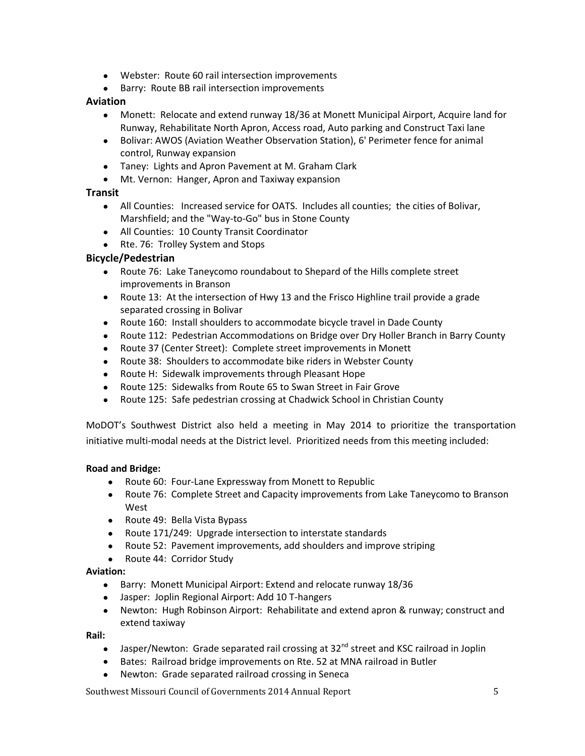- Webster: Route 60 rail intersection improvements
- Barry: Route BB rail intersection improvements

### **Aviation**

- Monett: Relocate and extend runway 18/36 at Monett Municipal Airport, Acquire land for Runway, Rehabilitate North Apron, Access road, Auto parking and Construct Taxi lane
- Bolivar: AWOS (Aviation Weather Observation Station), 6' Perimeter fence for animal control, Runway expansion
- Taney: Lights and Apron Pavement at M. Graham Clark
- Mt. Vernon: Hanger, Apron and Taxiway expansion

### **Transit**

- All Counties: Increased service for OATS. Includes all counties; the cities of Bolivar, Marshfield; and the "Way-to-Go" bus in Stone County
- All Counties: 10 County Transit Coordinator
- Rte. 76: Trolley System and Stops

### **Bicycle/Pedestrian**

- Route 76: Lake Taneycomo roundabout to Shepard of the Hills complete street improvements in Branson
- Route 13: At the intersection of Hwy 13 and the Frisco Highline trail provide a grade separated crossing in Bolivar
- Route 160: Install shoulders to accommodate bicycle travel in Dade County
- Route 112: Pedestrian Accommodations on Bridge over Dry Holler Branch in Barry County
- Route 37 (Center Street): Complete street improvements in Monett
- Route 38: Shoulders to accommodate bike riders in Webster County
- Route H: Sidewalk improvements through Pleasant Hope
- Route 125: Sidewalks from Route 65 to Swan Street in Fair Grove
- Route 125: Safe pedestrian crossing at Chadwick School in Christian County

MoDOT's Southwest District also held a meeting in May 2014 to prioritize the transportation initiative multi-modal needs at the District level. Prioritized needs from this meeting included:

#### **Road and Bridge:**

- Route 60: Four-Lane Expressway from Monett to Republic
- Route 76: Complete Street and Capacity improvements from Lake Taneycomo to Branson West
- Route 49: Bella Vista Bypass
- Route 171/249: Upgrade intersection to interstate standards
- Route 52: Pavement improvements, add shoulders and improve striping
- Route 44: Corridor Study

#### **Aviation:**

- Barry: Monett Municipal Airport: Extend and relocate runway 18/36
- Jasper: Joplin Regional Airport: Add 10 T-hangers
- Newton: Hugh Robinson Airport: Rehabilitate and extend apron & runway; construct and extend taxiway

#### **Rail:**

- $\bullet$  Jasper/Newton: Grade separated rail crossing at 32<sup>nd</sup> street and KSC railroad in Joplin
- Bates: Railroad bridge improvements on Rte. 52 at MNA railroad in Butler
- Newton: Grade separated railroad crossing in Seneca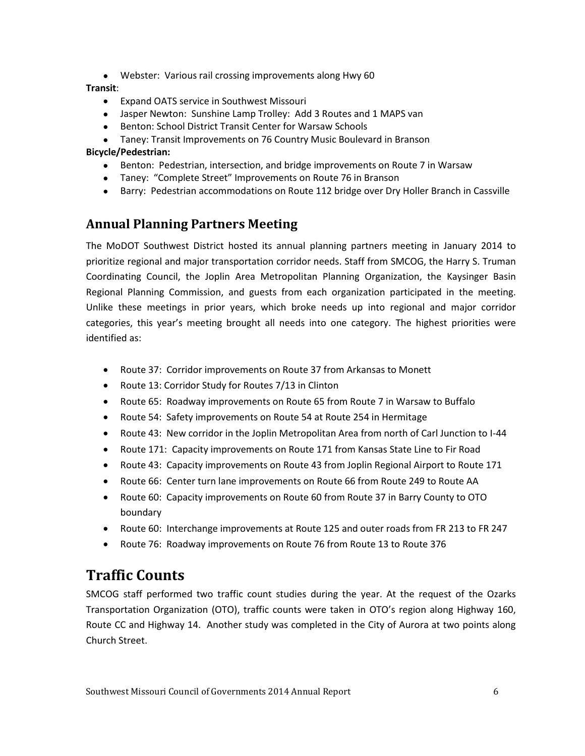Webster: Various rail crossing improvements along Hwy 60

### **Transit**:

- Expand OATS service in Southwest Missouri
- Jasper Newton: Sunshine Lamp Trolley: Add 3 Routes and 1 MAPS van
- Benton: School District Transit Center for Warsaw Schools
- Taney: Transit Improvements on 76 Country Music Boulevard in Branson

### **Bicycle/Pedestrian:**

- Benton: Pedestrian, intersection, and bridge improvements on Route 7 in Warsaw
- Taney: "Complete Street" Improvements on Route 76 in Branson
- Barry: Pedestrian accommodations on Route 112 bridge over Dry Holler Branch in Cassville

## **Annual Planning Partners Meeting**

The MoDOT Southwest District hosted its annual planning partners meeting in January 2014 to prioritize regional and major transportation corridor needs. Staff from SMCOG, the Harry S. Truman Coordinating Council, the Joplin Area Metropolitan Planning Organization, the Kaysinger Basin Regional Planning Commission, and guests from each organization participated in the meeting. Unlike these meetings in prior years, which broke needs up into regional and major corridor categories, this year's meeting brought all needs into one category. The highest priorities were identified as:

- Route 37: Corridor improvements on Route 37 from Arkansas to Monett
- Route 13: Corridor Study for Routes 7/13 in Clinton
- Route 65: Roadway improvements on Route 65 from Route 7 in Warsaw to Buffalo
- Route 54: Safety improvements on Route 54 at Route 254 in Hermitage
- Route 43: New corridor in the Joplin Metropolitan Area from north of Carl Junction to I-44
- Route 171: Capacity improvements on Route 171 from Kansas State Line to Fir Road
- Route 43: Capacity improvements on Route 43 from Joplin Regional Airport to Route 171
- Route 66: Center turn lane improvements on Route 66 from Route 249 to Route AA
- Route 60: Capacity improvements on Route 60 from Route 37 in Barry County to OTO boundary
- Route 60: Interchange improvements at Route 125 and outer roads from FR 213 to FR 247
- Route 76: Roadway improvements on Route 76 from Route 13 to Route 376

## **Traffic Counts**

SMCOG staff performed two traffic count studies during the year. At the request of the Ozarks Transportation Organization (OTO), traffic counts were taken in OTO's region along Highway 160, Route CC and Highway 14. Another study was completed in the City of Aurora at two points along Church Street.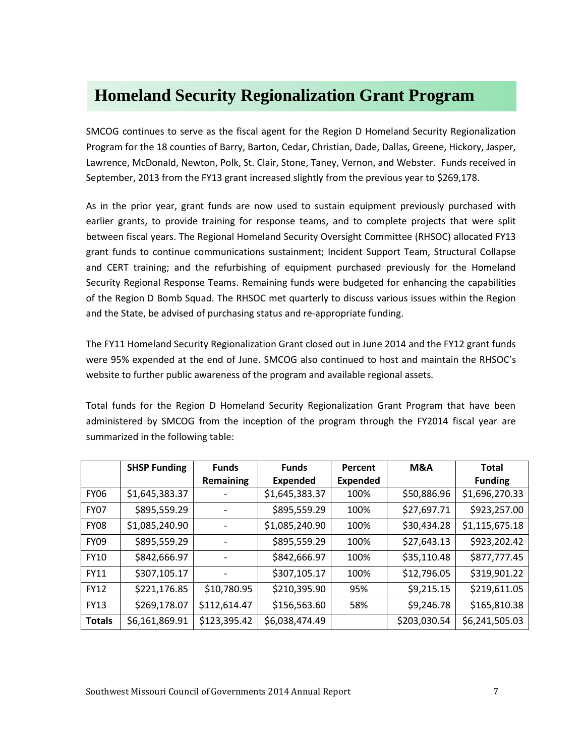## **Homeland Security Regionalization Grant Program**

SMCOG continues to serve as the fiscal agent for the Region D Homeland Security Regionalization Program for the 18 counties of Barry, Barton, Cedar, Christian, Dade, Dallas, Greene, Hickory, Jasper, Lawrence, McDonald, Newton, Polk, St. Clair, Stone, Taney, Vernon, and Webster. Funds received in September, 2013 from the FY13 grant increased slightly from the previous year to \$269,178.

As in the prior year, grant funds are now used to sustain equipment previously purchased with earlier grants, to provide training for response teams, and to complete projects that were split between fiscal years. The Regional Homeland Security Oversight Committee (RHSOC) allocated FY13 grant funds to continue communications sustainment; Incident Support Team, Structural Collapse and CERT training; and the refurbishing of equipment purchased previously for the Homeland Security Regional Response Teams. Remaining funds were budgeted for enhancing the capabilities of the Region D Bomb Squad. The RHSOC met quarterly to discuss various issues within the Region and the State, be advised of purchasing status and re-appropriate funding.

The FY11 Homeland Security Regionalization Grant closed out in June 2014 and the FY12 grant funds were 95% expended at the end of June. SMCOG also continued to host and maintain the RHSOC's website to further public awareness of the program and available regional assets.

Total funds for the Region D Homeland Security Regionalization Grant Program that have been administered by SMCOG from the inception of the program through the FY2014 fiscal year are summarized in the following table:

|               | <b>SHSP Funding</b> | <b>Funds</b> | <b>Funds</b>    | Percent         | <b>M&amp;A</b> | <b>Total</b>   |
|---------------|---------------------|--------------|-----------------|-----------------|----------------|----------------|
|               |                     | Remaining    | <b>Expended</b> | <b>Expended</b> |                | <b>Funding</b> |
| <b>FY06</b>   | \$1,645,383.37      |              | \$1,645,383.37  | 100%            | \$50,886.96    | \$1,696,270.33 |
| <b>FY07</b>   | \$895,559.29        |              | \$895,559.29    | 100%            | \$27,697.71    | \$923,257.00   |
| <b>FY08</b>   | \$1,085,240.90      |              | \$1,085,240.90  | 100%            | \$30,434.28    | \$1,115,675.18 |
| <b>FY09</b>   | \$895,559.29        |              | \$895,559.29    | 100%            | \$27,643.13    | \$923,202.42   |
| FY10          | \$842,666.97        |              | \$842,666.97    | 100%            | \$35,110.48    | \$877,777.45   |
| <b>FY11</b>   | \$307,105.17        |              | \$307,105.17    | 100%            | \$12,796.05    | \$319,901.22   |
| <b>FY12</b>   | \$221,176.85        | \$10,780.95  | \$210,395.90    | 95%             | \$9,215.15     | \$219,611.05   |
| <b>FY13</b>   | \$269,178.07        | \$112,614.47 | \$156,563.60    | 58%             | \$9,246.78     | \$165,810.38   |
| <b>Totals</b> | \$6,161,869.91      | \$123,395.42 | \$6,038,474.49  |                 | \$203,030.54   | \$6,241,505.03 |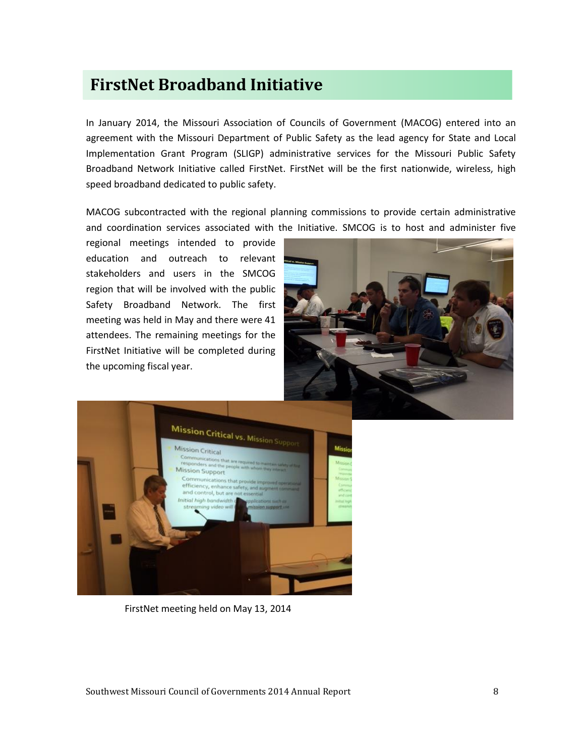## **FirstNet Broadband Initiative**

In January 2014, the Missouri Association of Councils of Government (MACOG) entered into an agreement with the Missouri Department of Public Safety as the lead agency for State and Local Implementation Grant Program (SLIGP) administrative services for the Missouri Public Safety Broadband Network Initiative called FirstNet. FirstNet will be the first nationwide, wireless, high speed broadband dedicated to public safety.

MACOG subcontracted with the regional planning commissions to provide certain administrative and coordination services associated with the Initiative. SMCOG is to host and administer five

regional meetings intended to provide education and outreach to relevant stakeholders and users in the SMCOG region that will be involved with the public Safety Broadband Network. The first meeting was held in May and there were 41 attendees. The remaining meetings for the FirstNet Initiative will be completed during the upcoming fiscal year.





FirstNet meeting held on May 13, 2014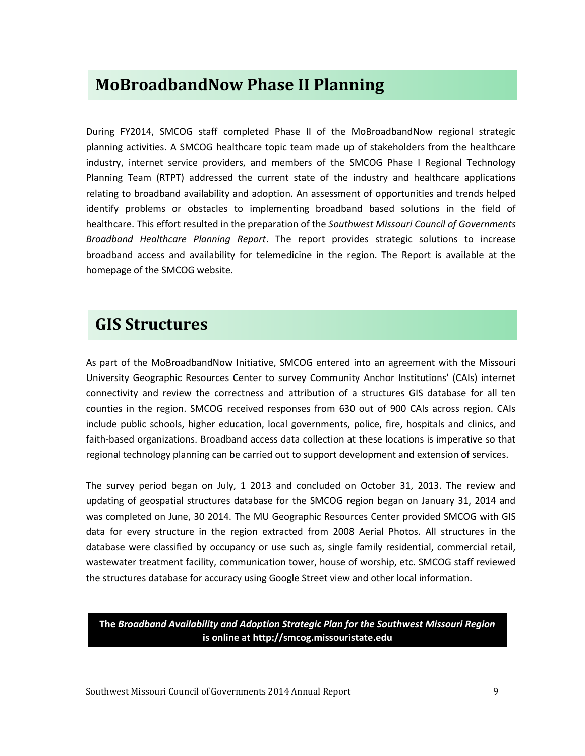## **MoBroadbandNow Phase II Planning**

During FY2014, SMCOG staff completed Phase II of the MoBroadbandNow regional strategic planning activities. A SMCOG healthcare topic team made up of stakeholders from the healthcare industry, internet service providers, and members of the SMCOG Phase I Regional Technology Planning Team (RTPT) addressed the current state of the industry and healthcare applications relating to broadband availability and adoption. An assessment of opportunities and trends helped identify problems or obstacles to implementing broadband based solutions in the field of healthcare. This effort resulted in the preparation of the *Southwest Missouri Council of Governments Broadband Healthcare Planning Report*. The report provides strategic solutions to increase broadband access and availability for telemedicine in the region. The Report is available at the homepage of the SMCOG website.

## **GIS Structures**

As part of the MoBroadbandNow Initiative, SMCOG entered into an agreement with the Missouri University Geographic Resources Center to survey Community Anchor Institutions' (CAIs) internet connectivity and review the correctness and attribution of a structures GIS database for all ten counties in the region. SMCOG received responses from 630 out of 900 CAIs across region. CAIs include public schools, higher education, local governments, police, fire, hospitals and clinics, and faith-based organizations. Broadband access data collection at these locations is imperative so that regional technology planning can be carried out to support development and extension of services.

The survey period began on July, 1 2013 and concluded on October 31, 2013. The review and updating of geospatial structures database for the SMCOG region began on January 31, 2014 and was completed on June, 30 2014. The MU Geographic Resources Center provided SMCOG with GIS data for every structure in the region extracted from 2008 Aerial Photos. All structures in the database were classified by occupancy or use such as, single family residential, commercial retail, wastewater treatment facility, communication tower, house of worship, etc. SMCOG staff reviewed the structures database for accuracy using Google Street view and other local information.

### **The** *Broadband Availability and Adoption Strategic Plan for the Southwest Missouri Region* **is online at http://smcog.missouristate.edu**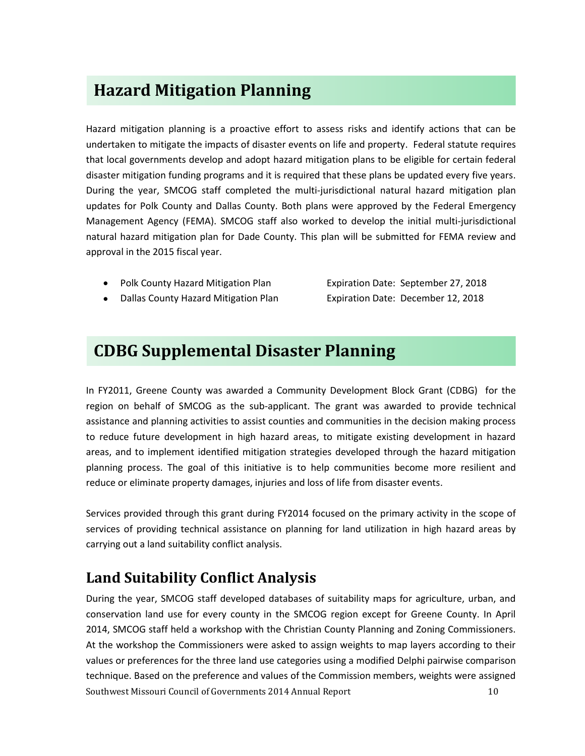## **Hazard Mitigation Planning**

Hazard mitigation planning is a proactive effort to assess risks and identify actions that can be undertaken to mitigate the impacts of disaster events on life and property. Federal statute requires that local governments develop and adopt hazard mitigation plans to be eligible for certain federal disaster mitigation funding programs and it is required that these plans be updated every five years. During the year, SMCOG staff completed the multi-jurisdictional natural hazard mitigation plan updates for Polk County and Dallas County. Both plans were approved by the Federal Emergency Management Agency (FEMA). SMCOG staff also worked to develop the initial multi-jurisdictional natural hazard mitigation plan for Dade County. This plan will be submitted for FEMA review and approval in the 2015 fiscal year.

• Polk County Hazard Mitigation Plan Expiration Date: September 27, 2018

Dallas County Hazard Mitigation Plan Expiration Date: December 12, 2018

## **CDBG Supplemental Disaster Planning**

In FY2011, Greene County was awarded a Community Development Block Grant (CDBG) for the region on behalf of SMCOG as the sub-applicant. The grant was awarded to provide technical assistance and planning activities to assist counties and communities in the decision making process to reduce future development in high hazard areas, to mitigate existing development in hazard areas, and to implement identified mitigation strategies developed through the hazard mitigation planning process. The goal of this initiative is to help communities become more resilient and reduce or eliminate property damages, injuries and loss of life from disaster events.

Services provided through this grant during FY2014 focused on the primary activity in the scope of services of providing technical assistance on planning for land utilization in high hazard areas by carrying out a land suitability conflict analysis.

## **Land Suitability Conflict Analysis**

Southwest Missouri Council of Governments 2014 Annual Report 10 During the year, SMCOG staff developed databases of suitability maps for agriculture, urban, and conservation land use for every county in the SMCOG region except for Greene County. In April 2014, SMCOG staff held a workshop with the Christian County Planning and Zoning Commissioners. At the workshop the Commissioners were asked to assign weights to map layers according to their values or preferences for the three land use categories using a modified Delphi pairwise comparison technique. Based on the preference and values of the Commission members, weights were assigned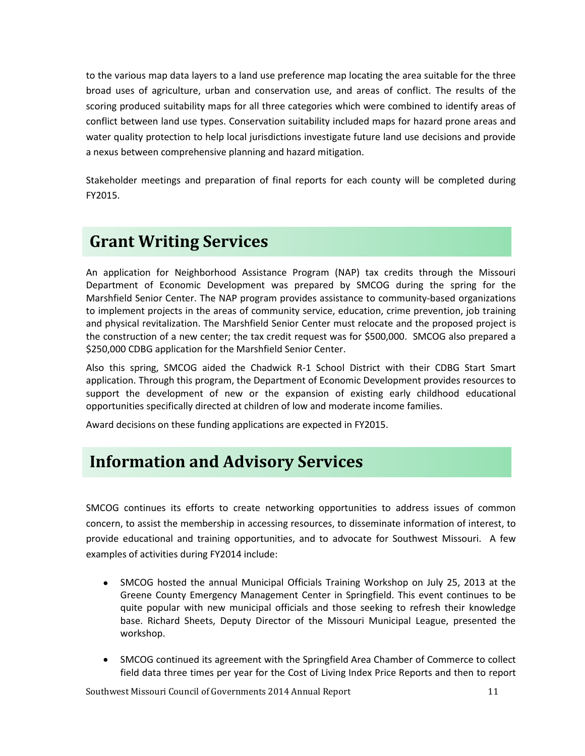to the various map data layers to a land use preference map locating the area suitable for the three broad uses of agriculture, urban and conservation use, and areas of conflict. The results of the scoring produced suitability maps for all three categories which were combined to identify areas of conflict between land use types. Conservation suitability included maps for hazard prone areas and water quality protection to help local jurisdictions investigate future land use decisions and provide a nexus between comprehensive planning and hazard mitigation.

Stakeholder meetings and preparation of final reports for each county will be completed during FY2015.

## **Grant Writing Services**

An application for Neighborhood Assistance Program (NAP) tax credits through the Missouri Department of Economic Development was prepared by SMCOG during the spring for the Marshfield Senior Center. The NAP program provides assistance to community-based organizations to implement projects in the areas of community service, education, crime prevention, job training and physical revitalization. The Marshfield Senior Center must relocate and the proposed project is the construction of a new center; the tax credit request was for \$500,000. SMCOG also prepared a \$250,000 CDBG application for the Marshfield Senior Center.

Also this spring, SMCOG aided the Chadwick R-1 School District with their CDBG Start Smart application. Through this program, the Department of Economic Development provides resources to support the development of new or the expansion of existing early childhood educational opportunities specifically directed at children of low and moderate income families.

Award decisions on these funding applications are expected in FY2015.

## **Information and Advisory Services**

SMCOG continues its efforts to create networking opportunities to address issues of common concern, to assist the membership in accessing resources, to disseminate information of interest, to provide educational and training opportunities, and to advocate for Southwest Missouri. A few examples of activities during FY2014 include:

- SMCOG hosted the annual Municipal Officials Training Workshop on July 25, 2013 at the Greene County Emergency Management Center in Springfield. This event continues to be quite popular with new municipal officials and those seeking to refresh their knowledge base. Richard Sheets, Deputy Director of the Missouri Municipal League, presented the workshop.
- SMCOG continued its agreement with the Springfield Area Chamber of Commerce to collect field data three times per year for the Cost of Living Index Price Reports and then to report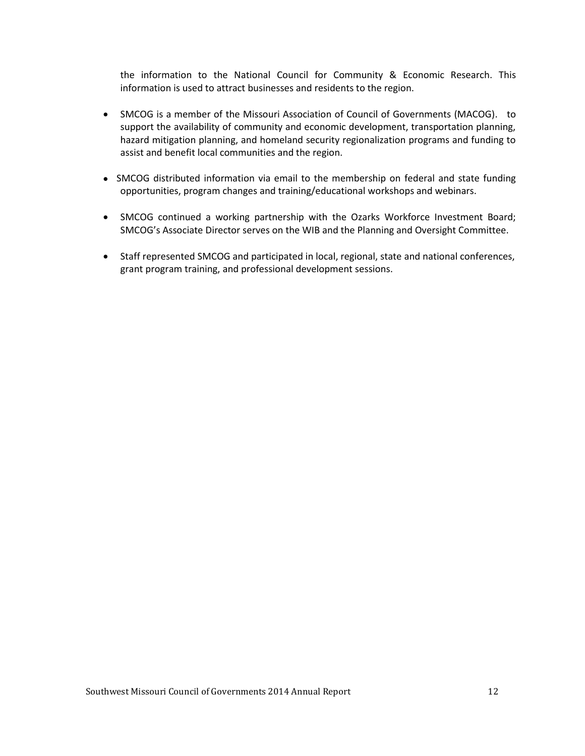the information to the National Council for Community & Economic Research. This information is used to attract businesses and residents to the region.

- SMCOG is a member of the Missouri Association of Council of Governments (MACOG). to support the availability of community and economic development, transportation planning, hazard mitigation planning, and homeland security regionalization programs and funding to assist and benefit local communities and the region.
- SMCOG distributed information via email to the membership on federal and state funding opportunities, program changes and training/educational workshops and webinars.
- SMCOG continued a working partnership with the Ozarks Workforce Investment Board; SMCOG's Associate Director serves on the WIB and the Planning and Oversight Committee.
- Staff represented SMCOG and participated in local, regional, state and national conferences, grant program training, and professional development sessions.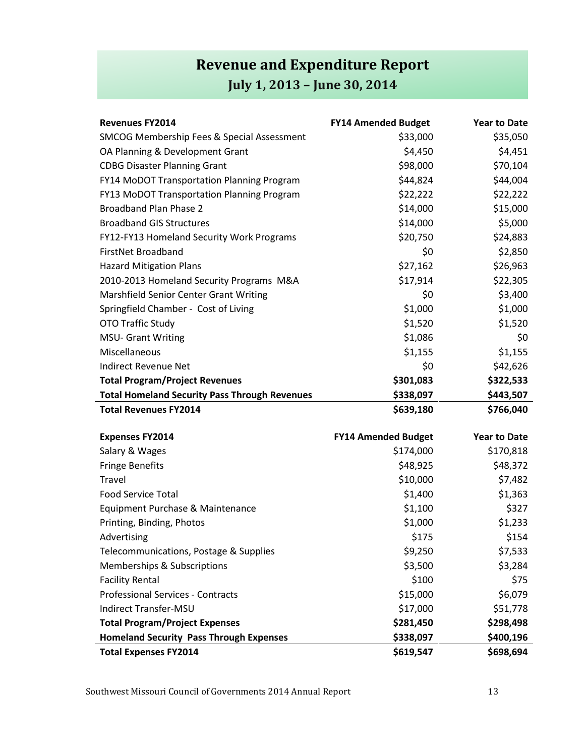## **Revenue and Expenditure Report July 1, 2013 – June 30, 2014**

| <b>Revenues FY2014</b>                                | <b>FY14 Amended Budget</b> | <b>Year to Date</b> |
|-------------------------------------------------------|----------------------------|---------------------|
| <b>SMCOG Membership Fees &amp; Special Assessment</b> | \$33,000                   | \$35,050            |
| OA Planning & Development Grant                       | \$4,450                    | \$4,451             |
| <b>CDBG Disaster Planning Grant</b>                   | \$98,000                   | \$70,104            |
| FY14 MoDOT Transportation Planning Program            | \$44,824                   | \$44,004            |
| FY13 MoDOT Transportation Planning Program            | \$22,222                   | \$22,222            |
| Broadband Plan Phase 2                                | \$14,000                   | \$15,000            |
| <b>Broadband GIS Structures</b>                       | \$14,000                   | \$5,000             |
| FY12-FY13 Homeland Security Work Programs             | \$20,750                   | \$24,883            |
| FirstNet Broadband                                    | \$0                        | \$2,850             |
| <b>Hazard Mitigation Plans</b>                        | \$27,162                   | \$26,963            |
| 2010-2013 Homeland Security Programs M&A              | \$17,914                   | \$22,305            |
| Marshfield Senior Center Grant Writing                | \$0                        | \$3,400             |
| Springfield Chamber - Cost of Living                  | \$1,000                    | \$1,000             |
| <b>OTO Traffic Study</b>                              | \$1,520                    | \$1,520             |
| <b>MSU- Grant Writing</b>                             | \$1,086                    | \$0                 |
| Miscellaneous                                         | \$1,155                    | \$1,155             |
| Indirect Revenue Net                                  | \$0                        | \$42,626            |
| <b>Total Program/Project Revenues</b>                 | \$301,083                  | \$322,533           |
| <b>Total Homeland Security Pass Through Revenues</b>  | \$338,097                  | \$443,507           |
| <b>Total Revenues FY2014</b>                          | \$639,180                  | \$766,040           |

| <b>Expenses FY2014</b>                         | <b>FY14 Amended Budget</b> | <b>Year to Date</b> |
|------------------------------------------------|----------------------------|---------------------|
| Salary & Wages                                 | \$174,000                  | \$170,818           |
| <b>Fringe Benefits</b>                         | \$48,925                   | \$48,372            |
| Travel                                         | \$10,000                   | \$7,482             |
| <b>Food Service Total</b>                      | \$1,400                    | \$1,363             |
| Equipment Purchase & Maintenance               | \$1,100                    | \$327               |
| Printing, Binding, Photos                      | \$1,000                    | \$1,233             |
| Advertising                                    | \$175                      | \$154               |
| Telecommunications, Postage & Supplies         | \$9,250                    | \$7,533             |
| Memberships & Subscriptions                    | \$3,500                    | \$3,284             |
| <b>Facility Rental</b>                         | \$100                      | \$75                |
| <b>Professional Services - Contracts</b>       | \$15,000                   | \$6,079             |
| Indirect Transfer-MSU                          | \$17,000                   | \$51,778            |
| <b>Total Program/Project Expenses</b>          | \$281,450                  | \$298,498           |
| <b>Homeland Security Pass Through Expenses</b> | \$338,097                  | \$400,196           |
| <b>Total Expenses FY2014</b>                   | \$619,547                  | \$698,694           |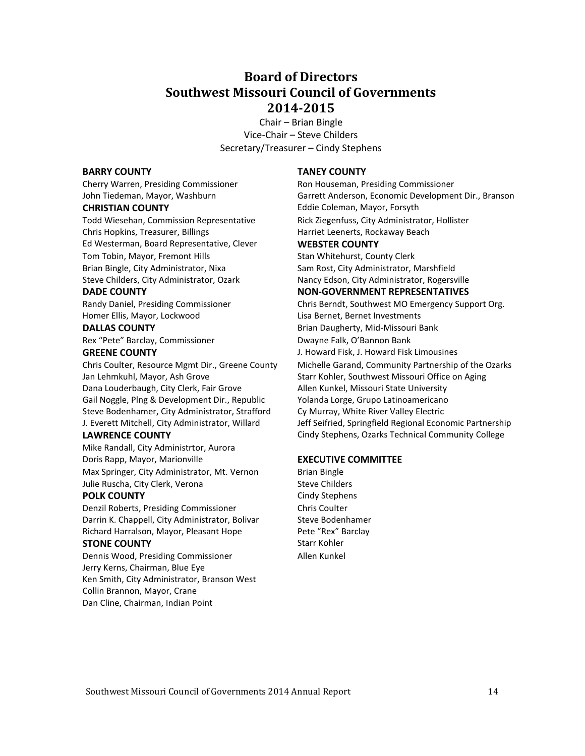## **Board of Directors Southwest Missouri Council of Governments 2014-2015**

Chair – Brian Bingle Vice-Chair – Steve Childers Secretary/Treasurer – Cindy Stephens

#### **BARRY COUNTY TANEY COUNTY**

Chris Hopkins, Treasurer, Billings **Harriet Leenerts, Rockaway Beach** Harriet Leenerts, Rockaway Beach Ed Westerman, Board Representative, Clever **WEBSTER COUNTY** Tom Tobin, Mayor, Fremont Hills Stan Whitehurst, County Clerk Brian Bingle, City Administrator, Nixa Sam Rost, City Administrator, Marshfield Steve Childers, City Administrator, Ozark Nancy Edson, City Administrator, Rogersville

Homer Ellis, Mayor, Lockwood Lisa Bernet, Bernet Investments

Rex "Pete" Barclay, Commissioner Dwayne Falk, O'Bannon Bank

Jan Lehmkuhl, Mayor, Ash Grove Starr Kohler, Southwest Missouri Office on Aging Dana Louderbaugh, City Clerk, Fair Grove Allen Kunkel, Missouri State University Gail Noggle, Plng & Development Dir., Republic Yolanda Lorge, Grupo Latinoamericano Steve Bodenhamer, City Administrator, Strafford Cy Murray, White River Valley Electric

Mike Randall, City Administrtor, Aurora Doris Rapp, Mayor, Marionville **EXECUTIVE COMMITTEE** Max Springer, City Administrator, Mt. Vernon Brian Bingle Julie Ruscha, City Clerk, Verona Steve Childers

#### **POLK COUNTY** Cindy Stephens

Denzil Roberts, Presiding Commissioner Chris Coulter Darrin K. Chappell, City Administrator, Bolivar Steve Bodenhamer Richard Harralson, Mayor, Pleasant Hope Pete "Rex" Barclay

#### **STONE COUNTY** Starr Kohler

Dennis Wood, Presiding Commissioner Allen Kunkel Jerry Kerns, Chairman, Blue Eye Ken Smith, City Administrator, Branson West Collin Brannon, Mayor, Crane Dan Cline, Chairman, Indian Point

Cherry Warren, Presiding Commissioner Ron Houseman, Presiding Commissioner John Tiedeman, Mayor, Washburn Garrett Anderson, Economic Development Dir., Branson **CHRISTIAN COUNTY Eddie Coleman, Mayor, Forsyth** Todd Wiesehan, Commission Representative Rick Ziegenfuss, City Administrator, Hollister

#### **DADE COUNTY NON-GOVERNMENT REPRESENTATIVES**

Randy Daniel, Presiding Commissioner Chris Berndt, Southwest MO Emergency Support Org. **DALLAS COUNTY Brian Daugherty, Mid-Missouri Bank GREENE COUNTY** J. Howard Fisk, J. Howard Fisk Limousines Chris Coulter, Resource Mgmt Dir., Greene County Michelle Garand, Community Partnership of the Ozarks J. Everett Mitchell, City Administrator, Willard Jeff Seifried, Springfield Regional Economic Partnership **LAWRENCE COUNTY** Cindy Stephens, Ozarks Technical Community College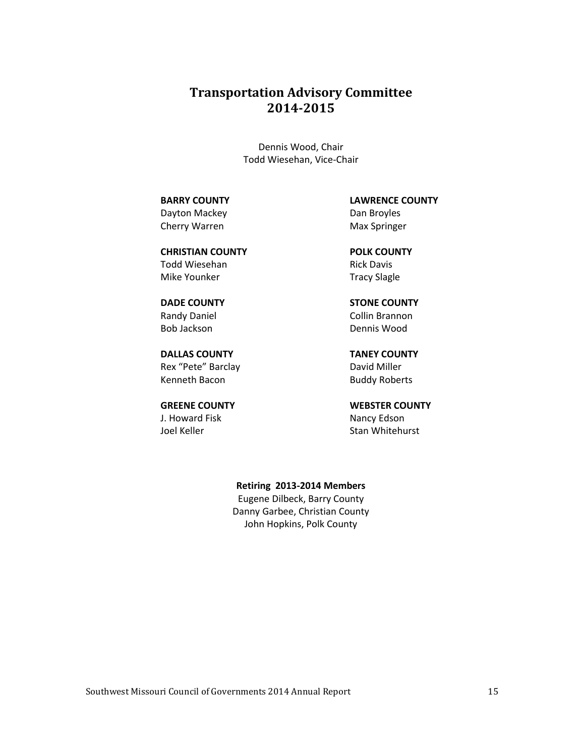## **Transportation Advisory Committee 2014-2015**

Dennis Wood, Chair Todd Wiesehan, Vice-Chair

Dayton Mackey **Dan Broyles** Cherry Warren Max Springer

**CHRISTIAN COUNTY POLK COUNTY** Todd Wiesehan **Rick Davis** Rick Davis Mike Younker Tracy Slagle

Bob Jackson Dennis Wood

**DALLAS COUNTY TANEY COUNTY** Rex "Pete" Barclay David Miller Kenneth Bacon Buddy Roberts

J. Howard Fisk Nancy Edson Joel Keller Stan Whitehurst

**BARRY COUNTY LAWRENCE COUNTY**

**DADE COUNTY STONE COUNTY** Randy Daniel **Collin Brannon** 

**GREENE COUNTY WEBSTER COUNTY**

**Retiring 2013-2014 Members**

Eugene Dilbeck, Barry County Danny Garbee, Christian County John Hopkins, Polk County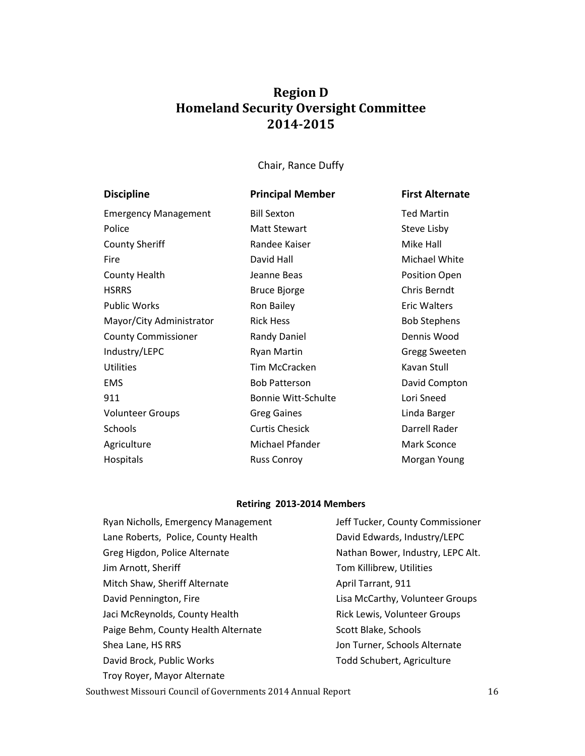## **Region D Homeland Security Oversight Committee 2014-2015**

Chair, Rance Duffy

| <b>Discipline</b>           | <b>Principal Member</b>    | <b>First Alternate</b> |
|-----------------------------|----------------------------|------------------------|
| <b>Emergency Management</b> | <b>Bill Sexton</b>         | <b>Ted Martin</b>      |
| Police                      | <b>Matt Stewart</b>        | Steve Lisby            |
| <b>County Sheriff</b>       | Randee Kaiser              | Mike Hall              |
| Fire                        | David Hall                 | Michael White          |
| <b>County Health</b>        | Jeanne Beas                | Position Open          |
| <b>HSRRS</b>                | <b>Bruce Bjorge</b>        | Chris Berndt           |
| <b>Public Works</b>         | Ron Bailey                 | <b>Eric Walters</b>    |
| Mayor/City Administrator    | <b>Rick Hess</b>           | <b>Bob Stephens</b>    |
| <b>County Commissioner</b>  | Randy Daniel               | Dennis Wood            |
| Industry/LEPC               | <b>Ryan Martin</b>         | Gregg Sweeten          |
| <b>Utilities</b>            | Tim McCracken              | Kavan Stull            |
| <b>EMS</b>                  | <b>Bob Patterson</b>       | David Compton          |
| 911                         | <b>Bonnie Witt-Schulte</b> | Lori Sneed             |
| <b>Volunteer Groups</b>     | <b>Greg Gaines</b>         | Linda Barger           |
| Schools                     | <b>Curtis Chesick</b>      | Darrell Rader          |
| Agriculture                 | Michael Pfander            | Mark Sconce            |
| Hospitals                   | <b>Russ Conroy</b>         | Morgan Young           |

### **Retiring 2013-2014 Members**

| Ryan Nicholls, Emergency Management | Jeff Tucker, County Commissioner  |
|-------------------------------------|-----------------------------------|
| Lane Roberts, Police, County Health | David Edwards, Industry/LEPC      |
| Greg Higdon, Police Alternate       | Nathan Bower, Industry, LEPC Alt. |
| Jim Arnott, Sheriff                 | Tom Killibrew, Utilities          |
| Mitch Shaw, Sheriff Alternate       | April Tarrant, 911                |
| David Pennington, Fire              | Lisa McCarthy, Volunteer Groups   |
| Jaci McReynolds, County Health      | Rick Lewis, Volunteer Groups      |
| Paige Behm, County Health Alternate | Scott Blake, Schools              |
| Shea Lane, HS RRS                   | Jon Turner, Schools Alternate     |
| David Brock, Public Works           | Todd Schubert, Agriculture        |
| Troy Royer, Mayor Alternate         |                                   |